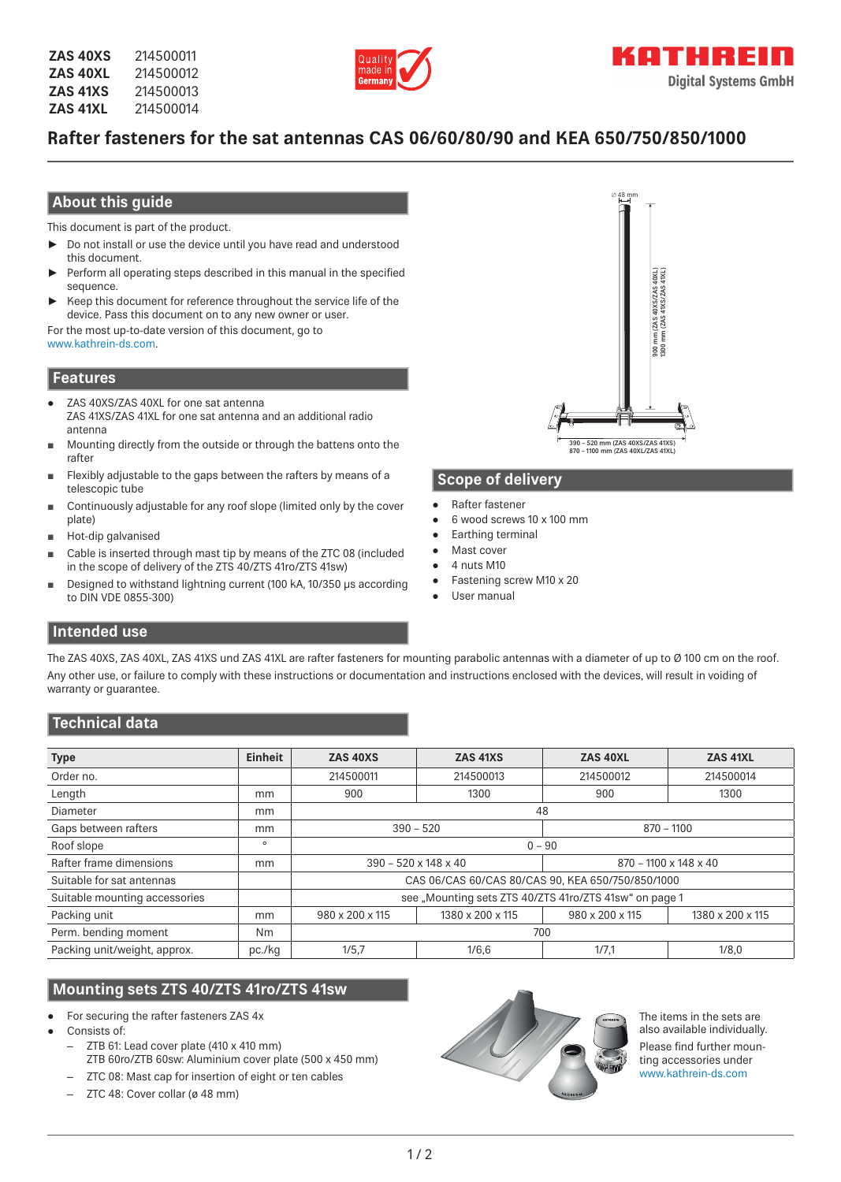

# **Rafter fasteners for the sat antennas CAS 06/60/80/90 and KEA 650/750/850/1000**

### **About this guide**

This document is part of the product.

- ► Do not install or use the device until you have read and understood this document.
- Perform all operating steps described in this manual in the specified sequence.
- Keep this document for reference throughout the service life of the device. Pass this document on to any new owner or user.

For the most up-to-date version of this document, go to www.kathrein-ds.com.

#### **Features**

- ZAS 40XS/ZAS 40XL for one sat antenna ZAS 41XS/ZAS 41XL for one sat antenna and an additional radio antenna
- Mounting directly from the outside or through the battens onto the rafter
- Flexibly adjustable to the gaps between the rafters by means of a telescopic tube
- Continuously adjustable for any roof slope (limited only by the cover plate)
- Hot-dip galvanised
- Cable is inserted through mast tip by means of the ZTC 08 (included in the scope of delivery of the ZTS 40/ZTS 41ro/ZTS 41sw)
- Designed to withstand lightning current (100 kA, 10/350 µs according to DIN VDE 0855-300)



### **Scope of delivery**

- Rafter fastener
- 6 wood screws 10 x 100 mm
- **Earthing terminal**
- Mast cover
- 4 nuts M10
- Fastening screw M10 x 20
- User manual

### **Intended use**

The ZAS 40XS, ZAS 40XL, ZAS 41XS und ZAS 41XL are rafter fasteners for mounting parabolic antennas with a diameter of up to Ø 100 cm on the roof. Any other use, or failure to comply with these instructions or documentation and instructions enclosed with the devices, will result in voiding of warranty or guarantee.

# **Technical data**

| <b>Type</b>                   | <b>Einheit</b> | ZAS 40XS                                               | ZAS 41XS         | ZAS 40XL              | ZAS 41XL         |
|-------------------------------|----------------|--------------------------------------------------------|------------------|-----------------------|------------------|
| Order no.                     |                | 214500011                                              | 214500013        | 214500012             | 214500014        |
| Length                        | mm             | 900                                                    | 1300             | 900                   | 1300             |
| Diameter                      | mm             | 48                                                     |                  |                       |                  |
| Gaps between rafters          | mm             | $390 - 520$                                            |                  | $870 - 1100$          |                  |
| Roof slope                    | $\circ$        | $0 - 90$                                               |                  |                       |                  |
| Rafter frame dimensions       | mm             | $390 - 520 \times 148 \times 40$                       |                  | 870 - 1100 x 148 x 40 |                  |
| Suitable for sat antennas     |                | CAS 06/CAS 60/CAS 80/CAS 90. KEA 650/750/850/1000      |                  |                       |                  |
| Suitable mounting accessories |                | see "Mounting sets ZTS 40/ZTS 41ro/ZTS 41sw" on page 1 |                  |                       |                  |
| Packing unit                  | mm             | 980 x 200 x 115                                        | 1380 x 200 x 115 | 980 x 200 x 115       | 1380 x 200 x 115 |
| Perm. bending moment          | N <sub>m</sub> | 700                                                    |                  |                       |                  |
| Packing unit/weight, approx.  | pc./kg         | 1/5.7                                                  | 1/6,6            | 1/7,1                 | 1/8.0            |

# **Mounting sets ZTS 40/ZTS 41ro/ZTS 41sw**

- For securing the rafter fasteners ZAS 4x
- Consists of:
	- ZTB 61: Lead cover plate (410 x 410 mm)
		- ZTB 60ro/ZTB 60sw: Aluminium cover plate (500 x 450 mm)
	- ZTC 08: Mast cap for insertion of eight or ten cables
	- ZTC 48: Cover collar (ø 48 mm)



The items in the sets are also available individually. Please find further mounting accessories under www.kathrein-ds.com